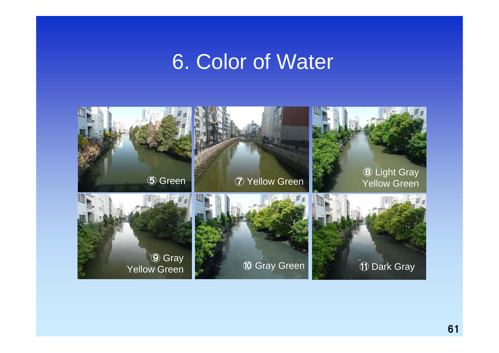## 6. Color of Water

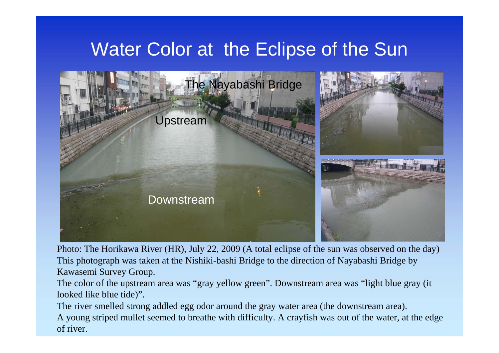## Water Color at the Eclipse of the Sun



Photo: The Horikawa River (HR), July 22, 2009 (A total eclipse of the sun was observed on the day) This photograph was taken at the Nishiki-bashi Bridge to the direction of Nayabashi Bridge by Kawasemi Survey Group.

The color of the upstream area was "gray yellow green". Downstream area was "light blue gray (it looked like blue tide)".

The river smelled strong addled egg odor around the gray water area (the downstream area).

A young striped mullet seemed to breathe with difficulty. A crayfish was out of the water, at the edge of river.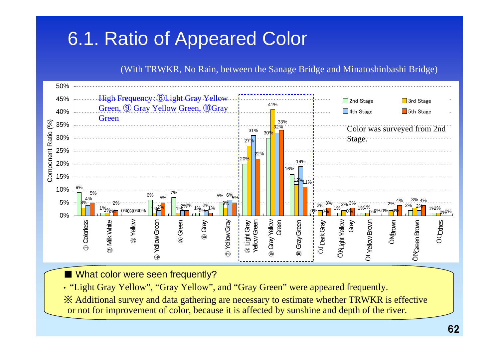## 6.1. Ratio of Appeared Color

(With TRWKR, No Rain, between the Sanage Bridge and Minatoshinbashi Bridge)



■ What color were seen frequently?

• "Light Gray Yellow", "Gray Yellow", and "Gray Green" were appeared frequently. ※ Additional survey and data gathering are necessary to estimate whether TRWKR is effective or not for improvement of color, because it is affected by sunshine and depth of the river.